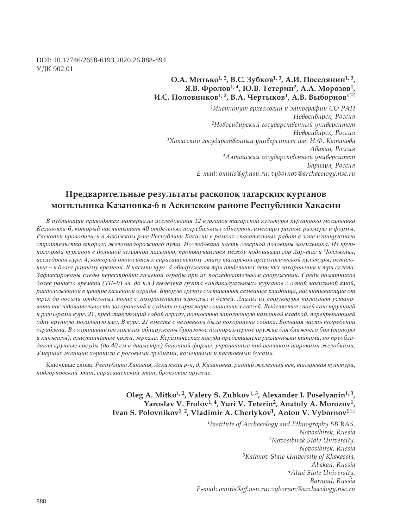DOI: 10.17746/2658-6193.2020.26.888-894 ɍȾɄ 902.01

## **Ǽ.Ǯ. ǺȖȠȪȘȜ1, 2, ǰ.ǿ. ǵȡȏȘȜȐ1, 3, Ǯ.Ƕ. ǽȜȟȓșȭțȖț1, 3,**   $\mathbf{A}$ **.В.** Фролов<sup>1,4</sup>, Ю.В. Тетерин<sup>2</sup>, А.А. Морозов<sup>1</sup> **Ƕ.ǿ. ǽȜșȜȐțȖȘȜȐ1, 2, ǰ.Ǯ. ȅȓȞȠȩȘȜȐ1, Ǯ.ǰ. ǰȩȏȜȞțȜȐ<sup>1</sup>**

*<sup>1</sup>ǶțȟȠȖȠȡȠ ȎȞȣȓȜșȜȑȖȖ Ȗ ȫȠțȜȑȞȎȢȖȖ ǿǼ ǾǮǻ*  $H$ овосибирск, Россия <sup>2</sup>Новосибирский государственный университет  $H$ овосибирск, Россия <sup>3</sup>Хакасский государственный университет им. Н.Ф. Катанова  $A$ бакан, Россия <sup>4</sup>Алтайский государственный университет Барнаул, Россия *E-mail: omitis@gf.nsu.ru; vybornov@archaeology.nsc.ru*

# Предварительные результаты раскопок тагарских курганов **ЖОГИЛЬНИКА КАЗАНОВКА-6 В АСКИЗСКОМ районе Республики Хакасии**

В публикации приводятся материалы исследования 12 курганов тагарской культуры курганного могильника Казановка-6, который насчитывает 40 отдельных погребальных объектов, имеюших разные размеры и формы. Раскопки проводились в Аскизском р-не Республики Хакасии в рамках спасательных работ в зоне планируемого строительства второго железнодорожного пути. Исследована часть северной половины могильника. Из крупного ряда курганов с большой земляной насыпью, протянувшегося между подошвами гор Аар-таг и Чоллыгпил, исследован кург. 4, который относится к сарагашенскому этапу тагарской археологической культуры, остальные - к более раннему времени. В насыпи кург. 4 обнаружены три отдельных детских захоронения и три склепа. Зафиксированы следы перестройки каменой ограды при их последовательном сооружении. Среди памятников более раннего времени (VII-VI вв. до н.э.) выделена группа «индивидуальных» курганов с одной могильной ямой, расположенной в центре каменной ограды. Вторую группу составляют семейные кладбища, насчитывающие от  $mpex$  до восьми отдельных могил с захоронениями взрослых и детей. Анализ их структуры позволяет устано*ɜɢɬɶ ɩɨɫɥɟɞɨɜɚɬɟɥɶɧɨɫɬɶ ɡɚɯɨɪɨɧɟɧɢɣ ɢ ɫɭɞɢɬɶ ɨ ɯɚɪɚɤɬɟɪɟ ɫɨɰɢɚɥɶɧɵɯ ɫɜɹɡɟɣ. ȼɵɞɟɥɹɟɬɫɹ ɫɜɨɟɣ ɤɨɧɫɬɪɭɤɰɢɟɣ* и размерами кург. 21, представляющий собой ограду, полностью заполненную каменной кладкой, перекрывающей одну крупную могильную яму. В кург. 21 вместе с человеком была похоронена собака. Большая часть погребений  $o$ граблена. В сохранившихся могилах обнаружены бронзовое полноразмерное оружие для ближнего боя (топоры  $u$  кинжалы), пластинчатые ножи, зеркала. Керамическая посуда представлена различными типами, но преобладают крупные сосуды (до 40 см в диаметре) баночной формы, украшенные под венчиком широкими желобками. Умерших женщин хоронили с роговыми гребнями, каменными и пастовыми бусами.

Ключевые слова: Республика Хакасия, Аскизский р-н, д. Казановка, ранний железный век, тагарская культура,  $n$ *одгорновский этап, сарагашенский этап, бронзовое оружие.* 

> Oleg A. Mitko<sup>1, 2</sup>, Valery S. Zubkov<sup>1, 3</sup>, Alexander I. Poselyanin<sup>1, 3</sup>, Yaroslav V. Frolov<sup>1, 4</sup>, Yuri V. Teterin<sup>2</sup>, Anatoly A. Morozov<sup>1</sup> Ivan S. Polovnikov<sup>1, 2</sup>, Vladimir A. Chertykov<sup>1</sup>, Anton V. Vybornov<sup>1⊠</sup>

> > *1Institute of Archaeology and Ethnography SB RAS, Novosibirsk, Russia 2Novosibirsk State University, Novosibirsk, Russia 3Katanov State University of Khakassia, Abakan, Russia 4Altai State University, Barnaul, Russia E-mail: omitis@gf.nsu.ru; vybornov@archaeology.nsc.ru*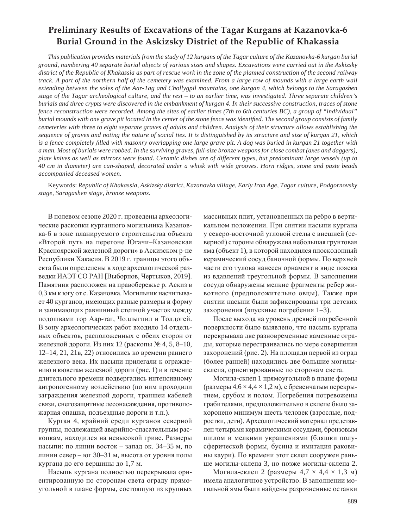# **Preliminary Results of Excavations of the Tagar Kurgans at Kazanovka-6 Burial Ground in the Askizsky District of the Republic of Khakassia**

*This publication provides materials from the study of 12 kurgans of the Tagar culture of the Kazanovka-6 kurgan burial ground, numbering 40 separate burial objects of various sizes and shapes. Excavations were carried out in the Askizsky district of the Republic of Khakassia as part of rescue work in the zone of the planned construction of the second railway track. A part of the northern half of the cemetery was examined. From a large row of mounds with a large earth wall extending between the soles of the Aar-Tag and Chollygpil mountains, one kurgan 4, which belongs to the Saragashen stage of the Tagar archeological culture, and the rest – to an earlier time, was investigated. Three separate children's burials and three crypts were discovered in the embankment of kurgan 4. In their successive construction, traces of stone fence reconstruction were recorded. Among the sites of earlier times (7th to 6th centuries BC), a group of "individual" burial mounds with one grave pit located in the center of the stone fence was identified. The second group consists of family cemeteries with three to eight separate graves of adults and children. Analysis of their structure allows establishing the sequence of graves and noting the nature of social ties. It is distinguished by its structure and size of kurgan 21, which is a fence completely filled with masonry overlapping one large grave pit. A dog was buried in kurgan 21 together with a man. Most of burials were robbed. In the surviving graves, full-size bronze weapons for close combat (axes and daggers), plate knives as well as mirrors were found. Ceramic dishes are of different types, but predominant large vessels (up to 40 cm in diameter) are can-shaped, decorated under a whisk with wide grooves. Horn ridges, stone and paste beads accompanied deceased women.*

Keywords: *Republic of Khakassia, Askizsky district, Kazanovka village, Early Iron Age, Tagar culture, Podgornovsky stage, Saragashen stage, bronze weapons.*

В полевом сезоне 2020 г. проведены археологические раскопки курганного могильника Казановка-6 в зоне планируемого строительства объекта «Второй путь на перегоне Югачи-Казановская Красноярской железной дороги» в Аскизском р-не Республики Хакасия. В 2019 г. границы этого объекта были определены в ходе археологической разведки ИАЭТ СО РАН [Выборнов, Чертыков, 2019]. Памятник расположен на правобережье р. Аскиз в 0,3 км к югу от с. Казановка. Могильник насчитывает 40 курганов, имеющих разные размеры и форму и занимающих равнинный степной участок между подошвами гор Аар-таг, Чоллыгпил и Толдогей. В зону археологических работ входило 14 отдельных объектов, расположенных с обеих сторон от железной дороги. Из них 12 (раскопы № 4, 5, 8–10, 12–14, 21, 21в, 22) относились ко времени раннего железного века. Их насыпи прилегали к ограждению и кюветам железной дороги (рис. 1) и в течение длительного времени подвергались интенсивному антропогенному воздействию (по ним проходили заграждения железной дороги, траншеи кабелей связи, снегозащитные лесонасаждения, противопожарная опашка, подъездные дороги и т.п.).

Курган 4, крайний среди курганов северной группы, подлежащей аварийно-спасательным раскопкам, находился на невысокой гриве. Размеры насыпи: по линии восток – запад ок. 34–35 м, по линии север – юг 30–31 м, высота от уровня полы кургана до его вершины до 1,7 м.

Насыпь кургана полностью перекрывала ориентированную по сторонам света ограду прямоугольной в плане формы, состоящую из крупных массивных плит, установленных на ребро в вертикальном положении. При снятии насыпи кургана у северо-восточной угловой стелы с внешней (северной) стороны обнаружена небольшая грунтовая яма (объект 1), в которой находился плоскодонный керамический сосуд баночной формы. По верхней части его тулова нанесен орнамент в виде пояска из вдавлений треугольной формы. В заполнении сосуда обнаружены мелкие фрагменты ребер животного (предположительно овцы). Также при снятии насыпи были зафиксированы три детских захоронения (впускные погребения 1–3).

После выхода на уровень древней погребенной поверхности было выявлено, что насыпь кургана перекрывала две разновременные каменные ограды, которые перестраивались по мере совершения захоронений (рис. 2). На площади первой из оград (более ранней) находились две большие могилысклепа, ориентированные по сторонам света.

Могила-склеп 1 прямоугольной в плане формы (размеры  $4.6 \times 4.4 \times 1.2$  м), с бревенчатым перекрытием, срубом и полом. Погребения потревожены грабителями, предположительно в склепе было захоронено минимум шесть человек (взрослые, подростки, дети). Археологический материал представлен четырьмя керамическими сосудами, бронзовым шилом и мелкими украшениями (бляшки полусферической формы, бусина и имитация раковины каури). По времени этот склеп сооружен раньше могилы-склепа 3, но позже могилы-склепа 2.

Могила-склеп 2 (размеры 4,7  $\times$  4,4  $\times$  1,3 м) имела аналогичное устройство. В заполнении могильной ямы были найдены разрозненные останки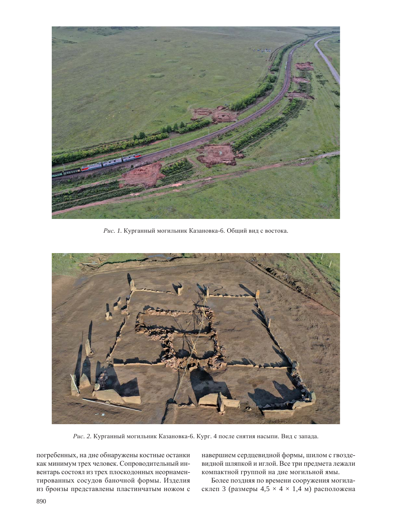

Рис. 1. Курганный могильник Казановка-6. Общий вид с востока.



Рис. 2. Курганный могильник Казановка-6. Кург. 4 после снятия насыпи. Вид с запада.

погребенных, на дне обнаружены костные останки как минимум трех человек. Сопроводительный инвентарь состоял из трех плоскодонных неорнаментированных сосудов баночной формы. Изделия из бронзы представлены пластинчатым ножом с навершием сердцевидной формы, шилом с гвоздевидной шляпкой и иглой. Все три предмета лежали компактной группой на дне могильной ямы.

Более поздняя по времени сооружения могиласклеп 3 (размеры  $4,5 \times 4 \times 1,4$  м) расположена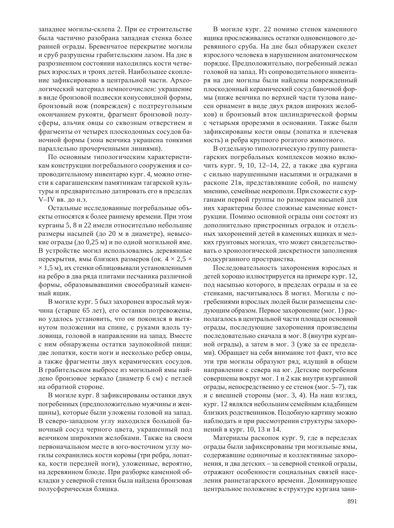западнее могилы-склепа 2. При ее строительстве была частично разобрана западная стенка более ранней ограды. Бревенчатое перекрытие могилы и сруб разрушены грабительским лазом. На дне в разрозненном состоянии находились кости четверых взрослых и троих детей. Наибольшее скопление зафиксировано в центральной части. Археологический материал немногочислен: украшение в виде бронзовой подвески конусовидной формы, бронзовый нож (поврежден) с подтреугольным окончанием рукояти, фрагмент бронзовой полусферы, альчик овцы со сквозным отверстием и фрагменты от четырех плоскодонных сосудов баночной формы (зона венчика украшена тонкими параллельно прочерченными линиями).

По основным типологическим характеристикам конструкции погребального сооружения и сопроводительному инвентарю кург. 4, можно отнести к сарагашенским памятникам тагарской культуры и предварительно датировать его в пределах V-IV вв. до н.э.

Остальные исследованные погребальные объекты относятся к более раннему времени. При этом курганы 5, 8 и 22 имели относительно небольшие размеры насыпей (до 20 м в диаметре), невысокие ограды (до 0,25 м) и по одной могильной яме. В устройстве могил использовались деревянные перекрытия, ямы близких размеров (ок.  $4 \times 2.5 \times$  $\times$  1,5 м), их стенки облицовывали установленными на ребро в два ряда плитами песчаника различной формы, образовывавшими своеобразный каменный ящик.

В могиле кург. 5 был захоронен взрослый мужчина (старше 65 лет), его останки потревожены, но удалось установить, что он покоился в вытянутом положении на спине, с руками вдоль туловища, головой в направлении на запад. Вместе с ним обнаружены остатки заупокойной пищи: две лопатки, кости ноги и несколько ребер овцы, а также фрагменты двух керамических сосудов. В грабительском выбросе из могильной ямы найдено бронзовое зеркало (диаметр 6 см) с петлей на обратной стороне.

В могиле кург. 8 зафиксированы останки двух погребенных (предположительно мужчины и женщины), которые были уложены головой на запад. В северо-западном углу находился большой баночный сосуд черного цвета, украшенный под венчиком широкими желобками. Также на своем первоначальном месте в юго-восточном углу могилы сохранились кости коровы (три ребра, лопатка, кости передней ноги), уложенные, вероятно, на деревянном блюде. При разборке каменной обкладки у северной стенки была найдена бронзовая полусферическая бляшка.

В могиле кург. 22 помимо стенок каменного ящика прослеживались остатки одновенцового деревянного сруба. На дне был обнаружен скелет взрослого человека в нарушенном анатомическом порядке. Предположительно, погребенный лежал головой на запад. Из сопроводительного инвентаря на дне могилы были найдены поврежденный плоскодонный керамический сосуд баночной формы (ниже венчика по верхней части тулова нанесен орнамент в виде двух рядов широких желобков) и бронзовый вток цилиндрической формы с четырьмя прорезями в основании. Также были зафиксированы кости овцы (лопатка и плечевая кость) и ребра крупного рогатого животного.

В отдельную типологическую группу раннетагарских погребальных комплексов можно включить кург. 9, 10, 12–14, 22, а также два кургана с сильно нарушенными насыпями и оградками в раскопе 21в, представлявшие собой, по нашему мнению, семейные некрополи. При схожести с курганами первой группы по размерам насыпей для них характерны более сложные каменные конструкции. Помимо основной ограды они состоят из дополнительно пристроенных оградок и отдельных захоронений детей в каменных ящиках и мелких грунтовых могилах, что может свидетельствовать о хронологической дискретности заполнения подкурганного пространства.

Последовательность захоронения взрослых и детей хорошо иллюстрируется на примере кург. 12, под насыпью которого, в пределах ограды и за ее стенками, насчитывалось 8 могил. Могилы с погребениями взрослых людей были размещены следующим образом. Первое захоронение (мог. 1) располагалось в центральной части площади основной ограды, последующие захоронения произведены последовательно сначала в мог. 8 (внутри курганной ограды), а затем в мог. 3 (уже за ее пределами). Обращает на себя внимание тот факт, что все эти три могилы образуют ряд, идущий в общем направлении с севера на юг. Детские погребения совершены вокруг мог. 1 и 2 как внутри курганной ограды, непосредственно у ее стенок (мог. 5–7), так и с внешней стороны (мог. 3, 4). На наш взгляд, кург. 12 являлся небольшим семейным кладбищем близких родственников. Подобную картину можно наблюдать и при рассмотрении структуры захоронений в кург. 10, 13 и 14.

Материалы раскопок кург. 9, где в переделах ограды были зафиксированы три могильные ямы, содержавшие одиночные и коллективные захоронения, и два детских – за северной стенкой ограды, отражают особенности социальных связей населения раннетагарского времени. Доминирующее центральное положение в структуре кургана зани-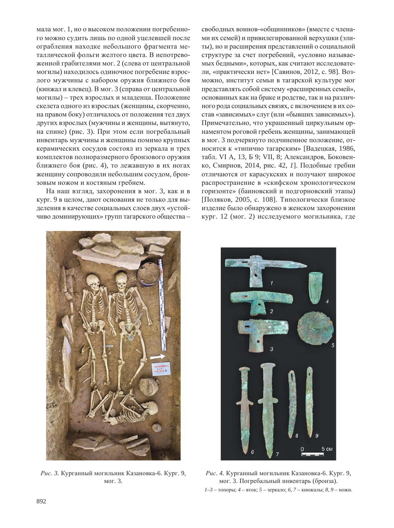мала мог. 1, но о высоком положении погребенного можно судить лишь по одной уцелевшей после ограбления находке небольшого фрагмента металлической фольги желтого цвета. В непотревоженной грабителями мог. 2 (слева от центральной могилы) находилось одиночное погребение взрослого мужчины с набором оружия ближнего боя (кинжал и клевец). В мог. 3 (справа от центральной могилы) – трех взрослых и младенца. Положение скелета одного из взрослых (женщины, скорченно, на правом боку) отличалось от положения тел двух других взрослых (мужчины и женщины, вытянуто, на спине) (рис. 3). При этом если погребальный инвентарь мужчины и женщины помимо крупных керамических сосудов состоял из зеркала и трех комплектов полноразмерного бронзового оружия ближнего боя (рис. 4), то лежавшую в их ногах женщину сопроводили небольшим сосудом, бронзовым ножом и костяным гребнем.

На наш взгляд, захоронения в мог. 3, как и в кург. 9 в целом, дают основания не только для выделения в качестве социальных слоев двух «устойчиво доминирующих» групп тагарского общества - свободных воинов-«общинников» (вместе с членами их семей) и привилегированной верхушки (элиты), но и расширения представлений о социальной структуре за счет погребений, «условно называемых бедными», которых, как считают исследователи, «практически нет» [Савинов, 2012, с. 98]. Возможно, институт семьи в тагарской культуре мог представлять собой систему «расширенных семей», основанных как на браке и родстве, так и на различного рода социальных связях, с включением в их состав «зависимых» слуг (или «бывших зависимых»). Примечательно, что украшенный циркульным орнаментом роговой гребень женщины, занимающей в мог. 3 подчеркнуто подчиненное положение, относится к «типично тагарским» [Вадецкая, 1986, табл. VI А, 13, Б 9; VII, 8; Александров, Боковенко, Смирнов, 2014, рис. 42, *1*]. Подобные гребни отличаются от карасукских и получают широкое распространение в «скифском хронологическом горизонте» (баиновский и подгорновский этапы)  $[$ Поляков, 2005, с. 108]. Типологически близкое изделие было обнаружено в женском захоронении кург. 12 (мог. 2) исследуемого могильника, где



Рис. 3. Курганный могильник Казановка-6. Кург. 9, мог. 3.



Рис. 4. Курганный могильник Казановка-6. Кург. 9, мог. 3. Погребальный инвентарь (бронза).  $1-3$  – топоры;  $4$  – вток;  $5$  – зеркало; 6, 7 – кинжалы; 8, 9 – ножи.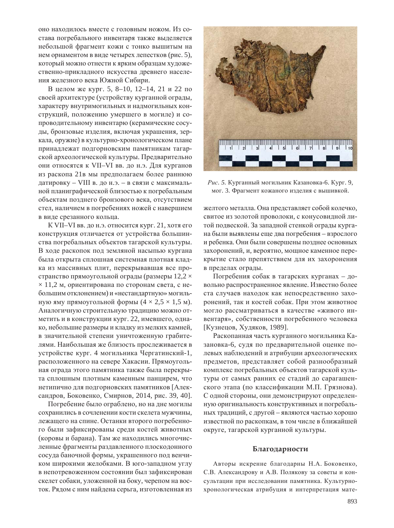оно находилось вместе с головным ножом. Из состава погребального инвентаря также выделяется небольшой фрагмент кожи с тонко вышитым на нем орнаментом в виде четырех лепестков (рис. 5), который можно отнести к ярким образцам художественно-прикладного искусства древнего населения железного века Южной Сибири.

В целом же кург. 5, 8–10, 12–14, 21 и 22 по своей архитектуре (устройству курганной ограды, характеру внутримогильных и надмогильных конструкций, положению умершего в могиле) и сопроводительному инвентарю (керамические сосуды, бронзовые изделия, включая украшения, зеркала, оружие) в культурно-хронологическом плане принадлежат подгорновским памятникам тагарской археологической культуры. Предварительно они относятся к VII-VI вв. до н.э. Для курганов из раскопа 21 в мы предполагаем более раннюю датировку – VIII в. до н.э. – в связи с максимальной планиграфической близостью к погребальным объектам позднего бронзового века, отсутствием стел, наличием в погребениях ножей с навершием в виде срезанного кольца.

К VII–VI вв. до н.э. относится кург. 21, хотя его конструкция отличается от устройства большинства погребальных объектов тагарской культуры. В ходе раскопок под земляной насыпью кургана была открыта сплошная системная плотная кладка из массивных плит, перекрывавшая все пространство прямоугольной ограды (размеры  $12,2 \times$  $\times$  11,2 м, ориентирована по сторонам света, с небольшим отклонением) и «нестандартную» могильную яму прямоугольной формы  $(4 \times 2,5 \times 1,5 \text{ m})$ . Аналогичную строительную традицию можно отметить и в конструкции кург. 22, имевшего, однако, небольшие размеры и кладку из мелких камней, в значительной степени уничтоженную грабителями. Наибольшая же близость прослеживается в устройстве кург. 4 могильника Чергатинский-1, расположенного на севере Хакасии. Прямоугольная ограда этого памятника также была перекрыта сплошным плотным каменным панцирем, что нетипично для подгорновских памятников [Александров, Боковенко, Смирнов, 2014, рис. 39, 40].

Погребение было ограблено, но на дне могилы сохранились в сочленении кости скелета мужчины, лежащего на спине. Останки второго погребенного были зафиксированы среди костей животных (коровы и барана). Там же находились многочисленные фрагменты раздавленного плоскодонного сосуда баночной формы, украшенного под венчиком широкими желобками. В юго-западном углу в непотревоженном состоянии был зафиксирован скелет собаки, уложенной на боку, черепом на восток. Рядом с ним найдена серьга, изготовленная из



*Рис.* 5. Курганный могильник Казановка-6. Кург. 9, мог. 3. Фрагмент кожаного изделия с вышивкой.

желтого металла. Она представляет собой колечко, свитое из золотой проволоки, с конусовидной литой подвеской. За западной стенкой ограды кургана были выявлены еще два погребения – взрослого и ребенка. Они были совершены позднее основных захоронений, и, вероятно, мощное каменное перекрытие стало препятствием для их захоронения в пределах ограды.

Погребения собак в тагарских курганах – довольно распространенное явление. Известно более ста случаев находок как непосредственно захоронений, так и костей собак. При этом животное могло рассматриваться в качестве «живого инвентаря», собственности погребенного человека [Кузнецов, Худяков, 1989].

Раскопанная часть курганного могильника Казановка-6, судя по предварительной оценке полевых наблюдений и атрибуции археологических предметов, представляет собой разнообразный комплекс погребальных объектов тагарской культуры от самых ранних ее стадий до сарагашенского этапа (по классификации М.П. Грязнова). С одной стороны, они демонстрируют определенную оригинальность конструктивных и погребальных традиций, с другой – являются частью хорошо известной по раскопкам, в том числе в ближайшей округе, тагарской курганной культуры.

#### **Благодарности**

Авторы искренне благодарны Н.А. Боковенко, С.В. Александрову и А.В. Полякову за советы и консультации при исследовании памятника. Культурнохронологическая атрибуция и интерпретация мате-